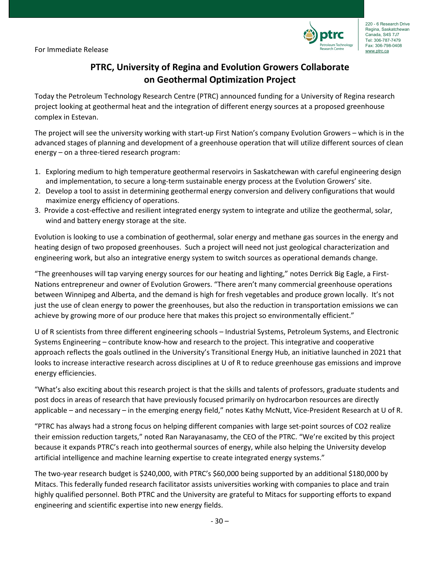

# **PTRC, University of Regina and Evolution Growers Collaborate on Geothermal Optimization Project**

Today the Petroleum Technology Research Centre (PTRC) announced funding for a University of Regina research project looking at geothermal heat and the integration of different energy sources at a proposed greenhouse complex in Estevan.

The project will see the university working with start-up First Nation's company Evolution Growers – which is in the advanced stages of planning and development of a greenhouse operation that will utilize different sources of clean energy – on a three-tiered research program:

- 1. Exploring medium to high temperature geothermal reservoirs in Saskatchewan with careful engineering design and implementation, to secure a long-term sustainable energy process at the Evolution Growers' site.
- 2. Develop a tool to assist in determining geothermal energy conversion and delivery configurations that would maximize energy efficiency of operations.
- 3. Provide a cost-effective and resilient integrated energy system to integrate and utilize the geothermal, solar, wind and battery energy storage at the site.

Evolution is looking to use a combination of geothermal, solar energy and methane gas sources in the energy and heating design of two proposed greenhouses. Such a project will need not just geological characterization and engineering work, but also an integrative energy system to switch sources as operational demands change.

"The greenhouses will tap varying energy sources for our heating and lighting," notes Derrick Big Eagle, a First-Nations entrepreneur and owner of Evolution Growers. "There aren't many commercial greenhouse operations between Winnipeg and Alberta, and the demand is high for fresh vegetables and produce grown locally. It's not just the use of clean energy to power the greenhouses, but also the reduction in transportation emissions we can achieve by growing more of our produce here that makes this project so environmentally efficient."

U of R scientists from three different engineering schools – Industrial Systems, Petroleum Systems, and Electronic Systems Engineering – contribute know-how and research to the project. This integrative and cooperative approach reflects the goals outlined in the University's Transitional Energy Hub, an initiative launched in 2021 that looks to increase interactive research across disciplines at U of R to reduce greenhouse gas emissions and improve energy efficiencies.

"What's also exciting about this research project is that the skills and talents of professors, graduate students and post docs in areas of research that have previously focused primarily on hydrocarbon resources are directly applicable – and necessary – in the emerging energy field," notes Kathy McNutt, Vice-President Research at U of R.

"PTRC has always had a strong focus on helping different companies with large set-point sources of CO2 realize their emission reduction targets," noted Ran Narayanasamy, the CEO of the PTRC. "We're excited by this project because it expands PTRC's reach into geothermal sources of energy, while also helping the University develop artificial intelligence and machine learning expertise to create integrated energy systems."

The two-year research budget is \$240,000, with PTRC's \$60,000 being supported by an additional \$180,000 by Mitacs. This federally funded research facilitator assists universities working with companies to place and train highly qualified personnel. Both PTRC and the University are grateful to Mitacs for supporting efforts to expand engineering and scientific expertise into new energy fields.